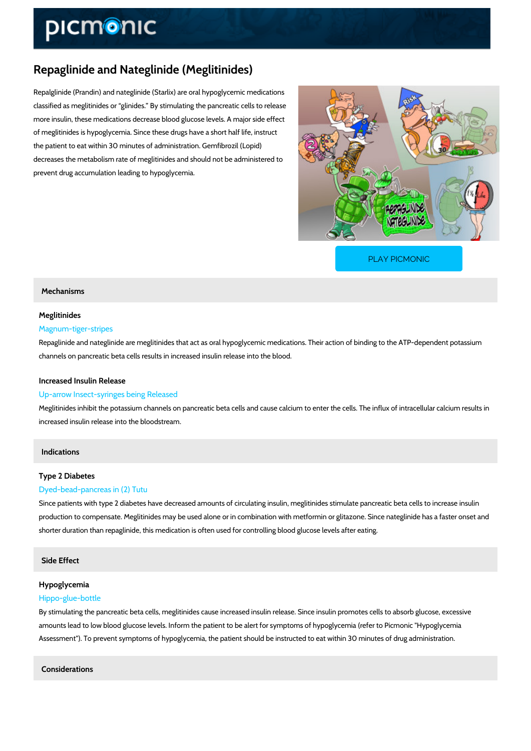# Repaglinide and Nateglinide (Meglitinides)

Repalglinide (Prandin) and nateglinide (Starlix) are oral hypoglycemic medications classified as meglitinides or glinides. By stimulating the pancreatic cells to release more insulin, these medications decrease blood glucose levels. A major side effect of meglitinides is hypoglycemia. Since these drugs have a short half life, instruct the patient to eat within 30 minutes of administration. Gemfibrozil (Lopid) decreases the metabolism rate of meglitinides and should not be administered to prevent drug accumulation leading to hypoglycemia.

[PLAY PICMONIC](https://www.picmonic.com/learn/repaglinide-and-nateglinide-meglitinides_2122?utm_source=downloadable_content&utm_medium=distributedcontent&utm_campaign=pathways_pdf&utm_content=Repaglinide and Nateglinide (Meglitinides)&utm_ad_group=leads&utm_market=all)

## Mechanisms

## Meglitinides

## Magnum-tiger-stripes

Repaglinide and nateglinide are meglitinides that act as oral hypoglycemic medications. Their channels on pancreatic beta cells results in increased insulin release into the blood.

## Increased Insulin Release

### Up-arrow Insect-syringes being Released

Meglitinides inhibit the potassium channels on pancreatic beta cells and cause calcium to ent increased insulin release into the bloodstream.

## Indications

## Type 2 Diabetes

### Dyed-bead-pancreas in (2) Tutu

Since patients with type 2 diabetes have decreased amounts of circulating insulin, meglitinide production to compensate. Meglitinides may be used alone or in combination with metformin o shorter duration than repaglinide, this medication is often used for controlling blood glucose

## Side Effect

## Hypoglycemia

## Hippo-glue-bottle

By stimulating the pancreatic beta cells, meglitinides cause increased insulin release. Since amounts lead to low blood glucose levels. Inform the patient to be alert for symptoms of hypo Assessment"). To prevent symptoms of hypoglycemia, the patient should be instructed to eat \

Considerations